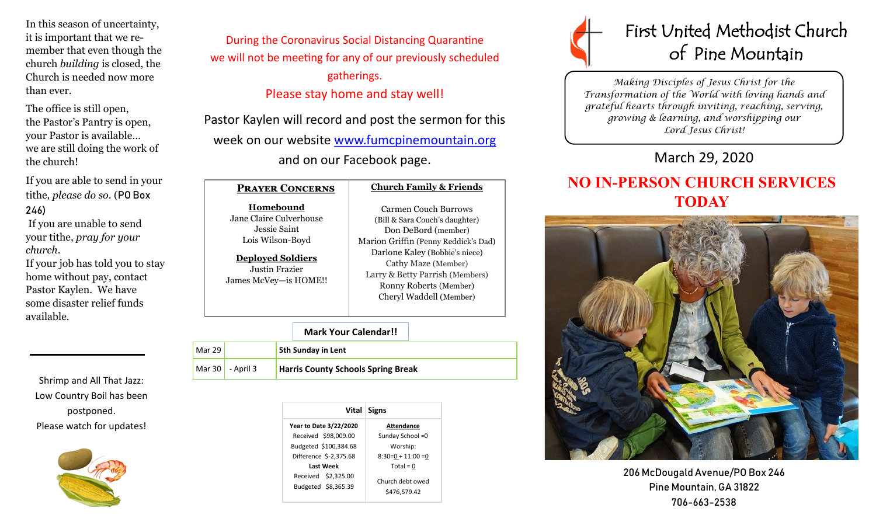In this season of uncertainty, it is important that we remember that even though the church *building* is closed, the Church is needed now more than ever.

The office is still open, the Pastor's Pantry is open, your Pastor is available… we are still doing the work of the church!

If you are able to send in your tithe*, please do so*. (PO Box 246)

If you are unable to send your tithe, *pray for your church*.

If your job has told you to stay home without pay, contact Pastor Kaylen. We have some disaster relief funds available.

Shrimp and All That Jazz: Low Country Boil has been postponed. Please watch for updates!



During the Coronavirus Social Distancing Quarantine we will not be meeting for any of our previously scheduled gatherings. Please stay home and stay well!

Pastor Kaylen will record and post the sermon for this week on our website [www.fumcpinemountain.org](http://www.fumcpinemountain.org) and on our Facebook page.

#### **Prayer Concerns Church Family & Friends**

**Homebound** Jane Claire Culverhouse Jessie Saint Lois Wilson-Boyd

**Deployed Soldiers** Justin Frazier James McVey—is HOME!!

Carmen Couch Burrows (Bill & Sara Couch's daughter) Don DeBord (member) Marion Griffin (Penny Reddick's Dad) Darlone Kaley (Bobbie's niece) Cathy Maze (Member) Larry & Betty Parrish (Members) Ronny Roberts (Member) Cheryl Waddell (Member)

#### **Mark Your Calendar!!**

| Mar 29 l |                    | <b>5th Sunday in Lent</b>                 |
|----------|--------------------|-------------------------------------------|
|          | Mar 30   - April 3 | <b>Harris County Schools Spring Break</b> |

| Vital                                      | Signs                            |
|--------------------------------------------|----------------------------------|
| <b>Year to Date 3/22/2020</b>              | <b>Attendance</b>                |
| Received \$98,009.00                       | Sunday School = 0                |
| Budgeted \$100,384.68                      | Worship:                         |
| Difference \$-2,375.68                     | $8:30=0 + 11:00 = 0$             |
| Last Week                                  | Total = $0$                      |
| Received \$2.325.00<br>Budgeted \$8,365.39 | Church debt owed<br>\$476.579.42 |



*Making Disciples of Jesus Christ for the Transformation of the World with loving hands and grateful hearts through inviting, reaching, serving, growing & learning, and worshipping our Lord Jesus Christ!* 

## March 29, 2020

# **NO IN-PERSON CHURCH SERVICES TODAY**



206 McDougald Avenue/PO Box 246 Pine Mountain, GA 31822 706-663-2538